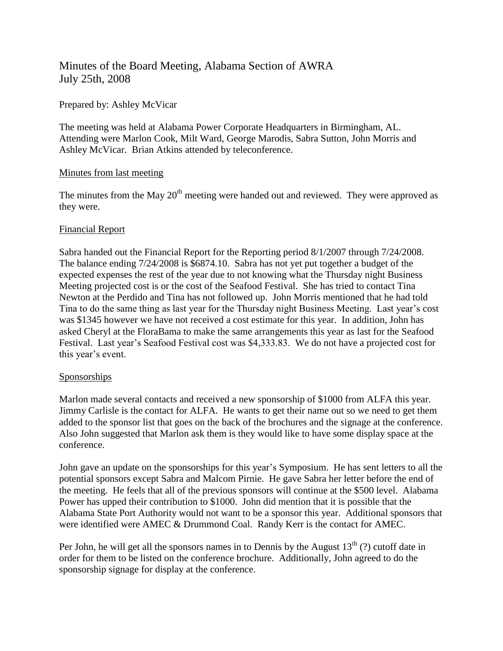# Minutes of the Board Meeting, Alabama Section of AWRA July 25th, 2008

### Prepared by: Ashley McVicar

The meeting was held at Alabama Power Corporate Headquarters in Birmingham, AL. Attending were Marlon Cook, Milt Ward, George Marodis, Sabra Sutton, John Morris and Ashley McVicar. Brian Atkins attended by teleconference.

### Minutes from last meeting

The minutes from the May  $20<sup>th</sup>$  meeting were handed out and reviewed. They were approved as they were.

## Financial Report

Sabra handed out the Financial Report for the Reporting period 8/1/2007 through 7/24/2008. The balance ending 7/24/2008 is \$6874.10. Sabra has not yet put together a budget of the expected expenses the rest of the year due to not knowing what the Thursday night Business Meeting projected cost is or the cost of the Seafood Festival. She has tried to contact Tina Newton at the Perdido and Tina has not followed up. John Morris mentioned that he had told Tina to do the same thing as last year for the Thursday night Business Meeting. Last year's cost was \$1345 however we have not received a cost estimate for this year. In addition, John has asked Cheryl at the FloraBama to make the same arrangements this year as last for the Seafood Festival. Last year's Seafood Festival cost was \$4,333.83. We do not have a projected cost for this year's event.

# Sponsorships

Marlon made several contacts and received a new sponsorship of \$1000 from ALFA this year. Jimmy Carlisle is the contact for ALFA. He wants to get their name out so we need to get them added to the sponsor list that goes on the back of the brochures and the signage at the conference. Also John suggested that Marlon ask them is they would like to have some display space at the conference.

John gave an update on the sponsorships for this year's Symposium. He has sent letters to all the potential sponsors except Sabra and Malcom Pirnie. He gave Sabra her letter before the end of the meeting. He feels that all of the previous sponsors will continue at the \$500 level. Alabama Power has upped their contribution to \$1000. John did mention that it is possible that the Alabama State Port Authority would not want to be a sponsor this year. Additional sponsors that were identified were AMEC & Drummond Coal. Randy Kerr is the contact for AMEC.

Per John, he will get all the sponsors names in to Dennis by the August  $13<sup>th</sup>$  (?) cutoff date in order for them to be listed on the conference brochure. Additionally, John agreed to do the sponsorship signage for display at the conference.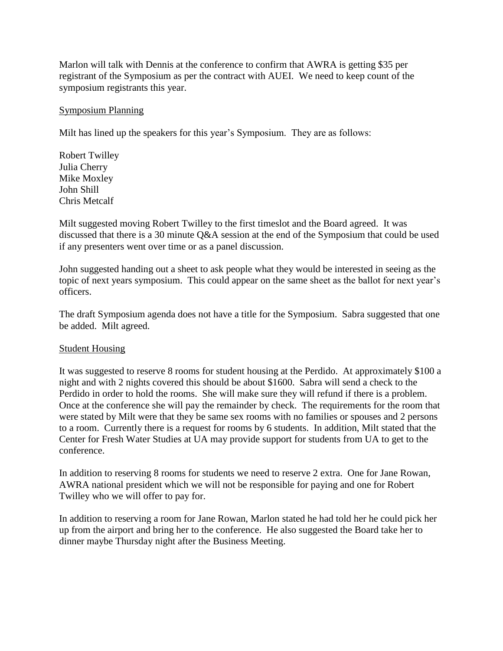Marlon will talk with Dennis at the conference to confirm that AWRA is getting \$35 per registrant of the Symposium as per the contract with AUEI. We need to keep count of the symposium registrants this year.

### Symposium Planning

Milt has lined up the speakers for this year's Symposium. They are as follows:

Robert Twilley Julia Cherry Mike Moxley John Shill Chris Metcalf

Milt suggested moving Robert Twilley to the first timeslot and the Board agreed. It was discussed that there is a 30 minute Q&A session at the end of the Symposium that could be used if any presenters went over time or as a panel discussion.

John suggested handing out a sheet to ask people what they would be interested in seeing as the topic of next years symposium. This could appear on the same sheet as the ballot for next year's officers.

The draft Symposium agenda does not have a title for the Symposium. Sabra suggested that one be added. Milt agreed.

### Student Housing

It was suggested to reserve 8 rooms for student housing at the Perdido. At approximately \$100 a night and with 2 nights covered this should be about \$1600. Sabra will send a check to the Perdido in order to hold the rooms. She will make sure they will refund if there is a problem. Once at the conference she will pay the remainder by check. The requirements for the room that were stated by Milt were that they be same sex rooms with no families or spouses and 2 persons to a room. Currently there is a request for rooms by 6 students. In addition, Milt stated that the Center for Fresh Water Studies at UA may provide support for students from UA to get to the conference.

In addition to reserving 8 rooms for students we need to reserve 2 extra. One for Jane Rowan, AWRA national president which we will not be responsible for paying and one for Robert Twilley who we will offer to pay for.

In addition to reserving a room for Jane Rowan, Marlon stated he had told her he could pick her up from the airport and bring her to the conference. He also suggested the Board take her to dinner maybe Thursday night after the Business Meeting.